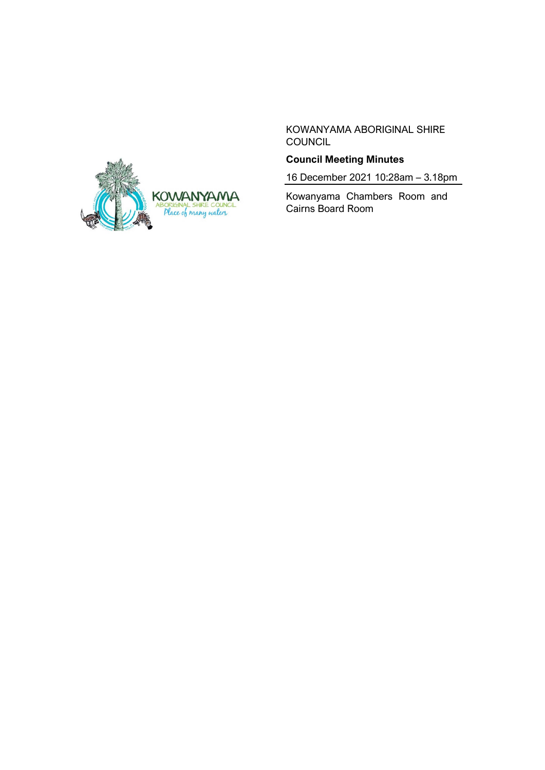

KOWANYAMA ABORIGINAL SHIRE **COUNCIL** 

# **Council Meeting Minutes**

16 December 2021 10:28am – 3.18pm

Kowanyama Chambers Room and Cairns Board Room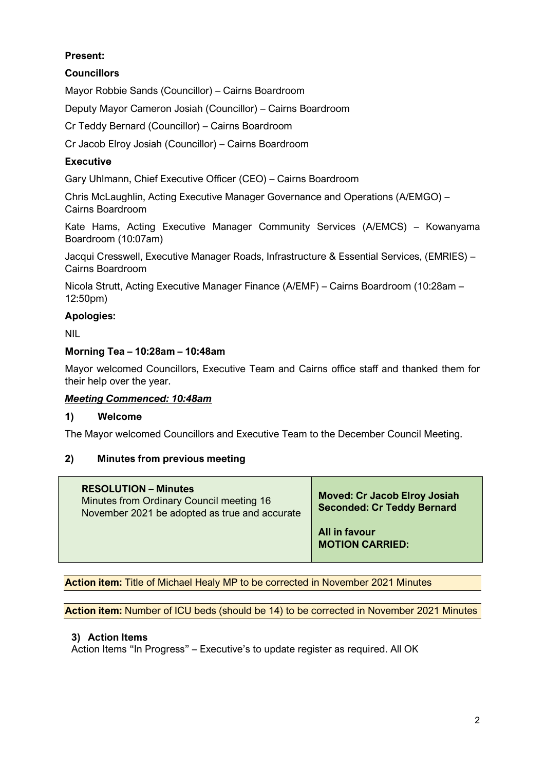# **Present:**

# **Councillors**

Mayor Robbie Sands (Councillor) – Cairns Boardroom

Deputy Mayor Cameron Josiah (Councillor) – Cairns Boardroom

Cr Teddy Bernard (Councillor) – Cairns Boardroom

Cr Jacob Elroy Josiah (Councillor) – Cairns Boardroom

# **Executive**

Gary Uhlmann, Chief Executive Officer (CEO) – Cairns Boardroom

Chris McLaughlin, Acting Executive Manager Governance and Operations (A/EMGO) – Cairns Boardroom

Kate Hams, Acting Executive Manager Community Services (A/EMCS) – Kowanyama Boardroom (10:07am)

Jacqui Cresswell, Executive Manager Roads, Infrastructure & Essential Services, (EMRIES) – Cairns Boardroom

Nicola Strutt, Acting Executive Manager Finance (A/EMF) – Cairns Boardroom (10:28am – 12:50pm)

# **Apologies:**

NIL

#### **Morning Tea – 10:28am – 10:48am**

Mayor welcomed Councillors, Executive Team and Cairns office staff and thanked them for their help over the year.

## *Meeting Commenced: 10:48am*

#### **1) Welcome**

The Mayor welcomed Councillors and Executive Team to the December Council Meeting.

## **2) Minutes from previous meeting**

| <b>RESOLUTION – Minutes</b><br>Minutes from Ordinary Council meeting 16<br>November 2021 be adopted as true and accurate | <b>Moved: Cr Jacob Elroy Josiah</b><br><b>Seconded: Cr Teddy Bernard</b> |
|--------------------------------------------------------------------------------------------------------------------------|--------------------------------------------------------------------------|
|                                                                                                                          | All in favour<br><b>MOTION CARRIED:</b>                                  |

**Action item:** Title of Michael Healy MP to be corrected in November 2021 Minutes

**Action item:** Number of ICU beds (should be 14) to be corrected in November 2021 Minutes

## **3) Action Items**

Action Items "In Progress" – Executive's to update register as required. All OK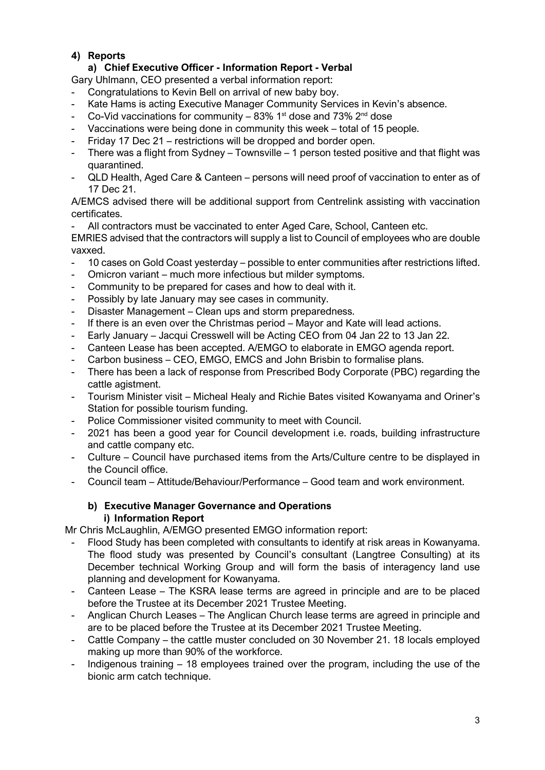# **4) Reports**

# **a) Chief Executive Officer - Information Report - Verbal**

Gary Uhlmann, CEO presented a verbal information report:

- Congratulations to Kevin Bell on arrival of new baby boy.
- Kate Hams is acting Executive Manager Community Services in Kevin's absence.
- Co-Vid vaccinations for community 83%  $1<sup>st</sup>$  dose and 73%  $2<sup>nd</sup>$  dose
- Vaccinations were being done in community this week total of 15 people.
- Friday 17 Dec 21 restrictions will be dropped and border open.
- There was a flight from Sydney Townsville 1 person tested positive and that flight was quarantined.
- QLD Health, Aged Care & Canteen persons will need proof of vaccination to enter as of 17 Dec 21.

A/EMCS advised there will be additional support from Centrelink assisting with vaccination certificates.

All contractors must be vaccinated to enter Aged Care, School, Canteen etc.

EMRIES advised that the contractors will supply a list to Council of employees who are double vaxxed.

- 10 cases on Gold Coast yesterday possible to enter communities after restrictions lifted.
- Omicron variant much more infectious but milder symptoms.
- Community to be prepared for cases and how to deal with it.
- Possibly by late January may see cases in community.
- Disaster Management Clean ups and storm preparedness.
- If there is an even over the Christmas period Mayor and Kate will lead actions.
- Early January Jacqui Cresswell will be Acting CEO from 04 Jan 22 to 13 Jan 22.
- Canteen Lease has been accepted. A/EMGO to elaborate in EMGO agenda report.
- Carbon business CEO, EMGO, EMCS and John Brisbin to formalise plans.
- There has been a lack of response from Prescribed Body Corporate (PBC) regarding the cattle agistment.
- Tourism Minister visit Micheal Healy and Richie Bates visited Kowanyama and Oriner's Station for possible tourism funding.
- Police Commissioner visited community to meet with Council.
- 2021 has been a good year for Council development i.e. roads, building infrastructure and cattle company etc.
- Culture Council have purchased items from the Arts/Culture centre to be displayed in the Council office.
- Council team Attitude/Behaviour/Performance Good team and work environment.

#### **b) Executive Manager Governance and Operations i) Information Report**

Mr Chris McLaughlin, A/EMGO presented EMGO information report:

- Flood Study has been completed with consultants to identify at risk areas in Kowanyama. The flood study was presented by Council's consultant (Langtree Consulting) at its December technical Working Group and will form the basis of interagency land use planning and development for Kowanyama.
- Canteen Lease The KSRA lease terms are agreed in principle and are to be placed before the Trustee at its December 2021 Trustee Meeting.
- Anglican Church Leases The Anglican Church lease terms are agreed in principle and are to be placed before the Trustee at its December 2021 Trustee Meeting.
- Cattle Company the cattle muster concluded on 30 November 21. 18 locals employed making up more than 90% of the workforce.
- Indigenous training 18 employees trained over the program, including the use of the bionic arm catch technique.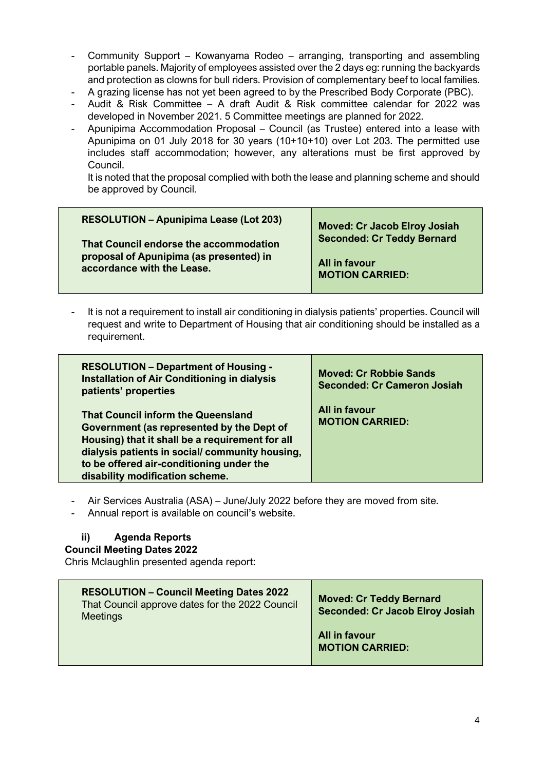- Community Support Kowanyama Rodeo arranging, transporting and assembling portable panels. Majority of employees assisted over the 2 days eg: running the backyards and protection as clowns for bull riders. Provision of complementary beef to local families.
- A grazing license has not yet been agreed to by the Prescribed Body Corporate (PBC).
- Audit & Risk Committee A draft Audit & Risk committee calendar for 2022 was developed in November 2021. 5 Committee meetings are planned for 2022.
- Apunipima Accommodation Proposal Council (as Trustee) entered into a lease with Apunipima on 01 July 2018 for 30 years (10+10+10) over Lot 203. The permitted use includes staff accommodation; however, any alterations must be first approved by Council.

It is noted that the proposal complied with both the lease and planning scheme and should be approved by Council.

It is not a requirement to install air conditioning in dialysis patients' properties. Council will request and write to Department of Housing that air conditioning should be installed as a requirement.

| <b>RESOLUTION - Department of Housing -</b><br><b>Installation of Air Conditioning in dialysis</b><br>patients' properties                                                                                                                                                 | <b>Moved: Cr Robbie Sands</b><br><b>Seconded: Cr Cameron Josiah</b> |
|----------------------------------------------------------------------------------------------------------------------------------------------------------------------------------------------------------------------------------------------------------------------------|---------------------------------------------------------------------|
| <b>That Council inform the Queensland</b><br>Government (as represented by the Dept of<br>Housing) that it shall be a requirement for all<br>dialysis patients in social/community housing,<br>to be offered air-conditioning under the<br>disability modification scheme. | All in favour<br><b>MOTION CARRIED:</b>                             |

Air Services Australia (ASA) – June/July 2022 before they are moved from site.

Annual report is available on council's website.

#### **ii) Agenda Reports**

#### **Council Meeting Dates 2022**

Chris Mclaughlin presented agenda report:

| <b>RESOLUTION - Council Meeting Dates 2022</b><br>That Council approve dates for the 2022 Council<br><b>Meetings</b> | <b>Moved: Cr Teddy Bernard</b><br><b>Seconded: Cr Jacob Elroy Josiah</b> |
|----------------------------------------------------------------------------------------------------------------------|--------------------------------------------------------------------------|
|                                                                                                                      | All in favour<br><b>MOTION CARRIED:</b>                                  |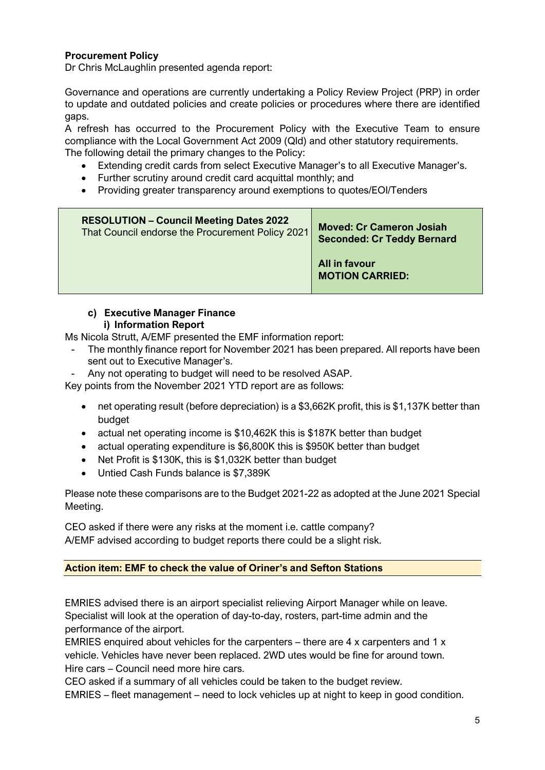## **Procurement Policy**

Dr Chris McLaughlin presented agenda report:

Governance and operations are currently undertaking a Policy Review Project (PRP) in order to update and outdated policies and create policies or procedures where there are identified gaps.

A refresh has occurred to the Procurement Policy with the Executive Team to ensure compliance with the Local Government Act 2009 (Qld) and other statutory requirements. The following detail the primary changes to the Policy:

- Extending credit cards from select Executive Manager's to all Executive Manager's.
- Further scrutiny around credit card acquittal monthly; and
- Providing greater transparency around exemptions to quotes/EOI/Tenders

| <b>RESOLUTION - Council Meeting Dates 2022</b>   |                                                                      |
|--------------------------------------------------|----------------------------------------------------------------------|
| That Council endorse the Procurement Policy 2021 | <b>Moved: Cr Cameron Josiah</b><br><b>Seconded: Cr Teddy Bernard</b> |
|                                                  | All in favour<br><b>MOTION CARRIED:</b>                              |

#### **c) Executive Manager Finance i) Information Report**

Ms Nicola Strutt, A/EMF presented the EMF information report:

- The monthly finance report for November 2021 has been prepared. All reports have been sent out to Executive Manager's.
- Any not operating to budget will need to be resolved ASAP.

Key points from the November 2021 YTD report are as follows:

- net operating result (before depreciation) is a \$3,662K profit, this is \$1,137K better than budget
- actual net operating income is \$10,462K this is \$187K better than budget
- actual operating expenditure is \$6,800K this is \$950K better than budget
- Net Profit is \$130K, this is \$1,032K better than budget
- Untied Cash Funds balance is \$7,389K

Please note these comparisons are to the Budget 2021-22 as adopted at the June 2021 Special Meeting.

CEO asked if there were any risks at the moment i.e. cattle company? A/EMF advised according to budget reports there could be a slight risk.

#### **Action item: EMF to check the value of Oriner's and Sefton Stations**

EMRIES advised there is an airport specialist relieving Airport Manager while on leave. Specialist will look at the operation of day-to-day, rosters, part-time admin and the performance of the airport.

EMRIES enquired about vehicles for the carpenters – there are 4 x carpenters and 1 x vehicle. Vehicles have never been replaced. 2WD utes would be fine for around town. Hire cars – Council need more hire cars.

CEO asked if a summary of all vehicles could be taken to the budget review.

EMRIES – fleet management – need to lock vehicles up at night to keep in good condition.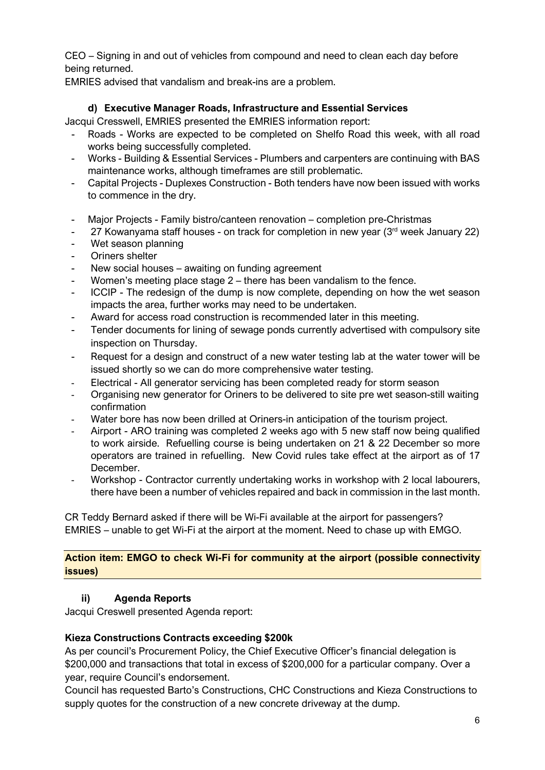CEO – Signing in and out of vehicles from compound and need to clean each day before being returned.

EMRIES advised that vandalism and break-ins are a problem.

# **d) Executive Manager Roads, Infrastructure and Essential Services**

Jacqui Cresswell, EMRIES presented the EMRIES information report:

- Roads Works are expected to be completed on Shelfo Road this week, with all road works being successfully completed.
- Works Building & Essential Services Plumbers and carpenters are continuing with BAS maintenance works, although timeframes are still problematic.
- Capital Projects Duplexes Construction Both tenders have now been issued with works to commence in the dry.
- Major Projects Family bistro/canteen renovation completion pre-Christmas
- 27 Kowanyama staff houses on track for completion in new year  $(3<sup>rd</sup>$  week January 22)
- Wet season planning
- Oriners shelter
- New social houses awaiting on funding agreement
- Women's meeting place stage  $2$  there has been vandalism to the fence.
- ICCIP The redesign of the dump is now complete, depending on how the wet season impacts the area, further works may need to be undertaken.
- Award for access road construction is recommended later in this meeting.
- Tender documents for lining of sewage ponds currently advertised with compulsory site inspection on Thursday.
- Request for a design and construct of a new water testing lab at the water tower will be issued shortly so we can do more comprehensive water testing.
- Electrical All generator servicing has been completed ready for storm season
- Organising new generator for Oriners to be delivered to site pre wet season-still waiting confirmation
- Water bore has now been drilled at Oriners-in anticipation of the tourism project.
- Airport ARO training was completed 2 weeks ago with 5 new staff now being qualified to work airside. Refuelling course is being undertaken on 21 & 22 December so more operators are trained in refuelling. New Covid rules take effect at the airport as of 17 December.
- Workshop Contractor currently undertaking works in workshop with 2 local labourers, there have been a number of vehicles repaired and back in commission in the last month.

CR Teddy Bernard asked if there will be Wi-Fi available at the airport for passengers? EMRIES – unable to get Wi-Fi at the airport at the moment. Need to chase up with EMGO.

## **Action item: EMGO to check Wi-Fi for community at the airport (possible connectivity issues)**

## **ii) Agenda Reports**

Jacqui Creswell presented Agenda report:

## **Kieza Constructions Contracts exceeding \$200k**

As per council's Procurement Policy, the Chief Executive Officer's financial delegation is \$200,000 and transactions that total in excess of \$200,000 for a particular company. Over a year, require Council's endorsement.

Council has requested Barto's Constructions, CHC Constructions and Kieza Constructions to supply quotes for the construction of a new concrete driveway at the dump.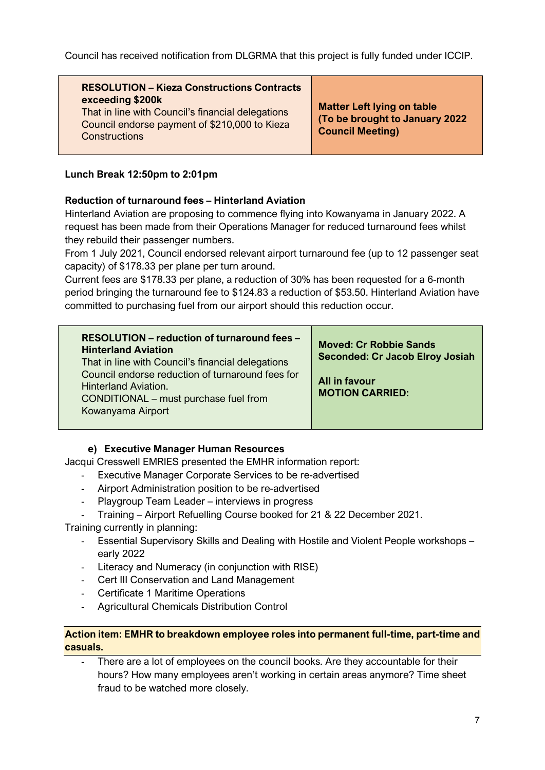Council has received notification from DLGRMA that this project is fully funded under ICCIP.

# **RESOLUTION – Kieza Constructions Contracts exceeding \$200k**

That in line with Council's financial delegations Council endorse payment of \$210,000 to Kieza **Constructions** 

**Matter Left lying on table (To be brought to January 2022 Council Meeting)**

## **Lunch Break 12:50pm to 2:01pm**

## **Reduction of turnaround fees – Hinterland Aviation**

Hinterland Aviation are proposing to commence flying into Kowanyama in January 2022. A request has been made from their Operations Manager for reduced turnaround fees whilst they rebuild their passenger numbers.

From 1 July 2021, Council endorsed relevant airport turnaround fee (up to 12 passenger seat capacity) of \$178.33 per plane per turn around.

Current fees are \$178.33 per plane, a reduction of 30% has been requested for a 6-month period bringing the turnaround fee to \$124.83 a reduction of \$53.50. Hinterland Aviation have committed to purchasing fuel from our airport should this reduction occur.

| RESOLUTION – reduction of turnaround fees –<br><b>Hinterland Aviation</b><br>That in line with Council's financial delegations<br>Council endorse reduction of turnaround fees for<br><b>Hinterland Aviation.</b><br>CONDITIONAL – must purchase fuel from<br>Kowanyama Airport | <b>Moved: Cr Robbie Sands</b><br><b>Seconded: Cr Jacob Elroy Josiah</b><br>All in favour<br><b>MOTION CARRIED:</b> |
|---------------------------------------------------------------------------------------------------------------------------------------------------------------------------------------------------------------------------------------------------------------------------------|--------------------------------------------------------------------------------------------------------------------|
|---------------------------------------------------------------------------------------------------------------------------------------------------------------------------------------------------------------------------------------------------------------------------------|--------------------------------------------------------------------------------------------------------------------|

## **e) Executive Manager Human Resources**

Jacqui Cresswell EMRIES presented the EMHR information report:

- Executive Manager Corporate Services to be re-advertised
- Airport Administration position to be re-advertised
- Playgroup Team Leader interviews in progress
- Training Airport Refuelling Course booked for 21 & 22 December 2021.

Training currently in planning:

- Essential Supervisory Skills and Dealing with Hostile and Violent People workshops early 2022
- Literacy and Numeracy (in conjunction with RISE)
- Cert III Conservation and Land Management
- Certificate 1 Maritime Operations
- Agricultural Chemicals Distribution Control

#### **Action item: EMHR to breakdown employee roles into permanent full-time, part-time and casuals.**

There are a lot of employees on the council books. Are they accountable for their hours? How many employees aren't working in certain areas anymore? Time sheet fraud to be watched more closely.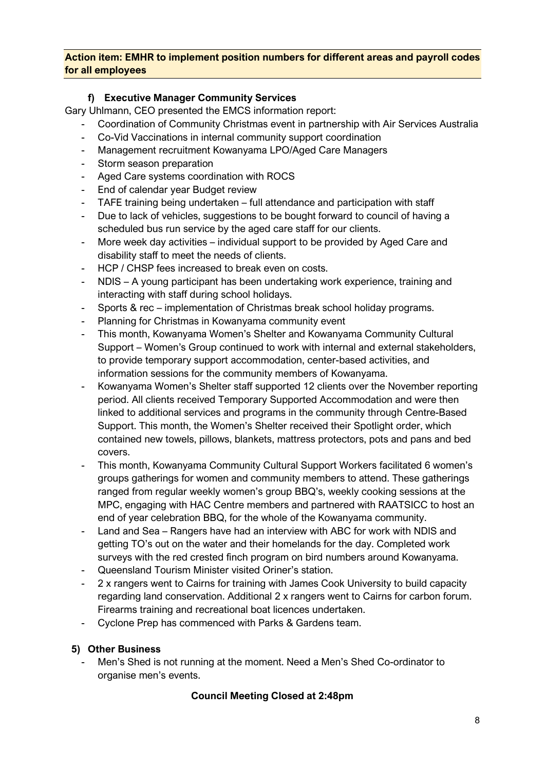#### **Action item: EMHR to implement position numbers for different areas and payroll codes for all employees**

# **f) Executive Manager Community Services**

Gary Uhlmann, CEO presented the EMCS information report:

- Coordination of Community Christmas event in partnership with Air Services Australia
- Co-Vid Vaccinations in internal community support coordination
- Management recruitment Kowanyama LPO/Aged Care Managers
- Storm season preparation
- Aged Care systems coordination with ROCS
- End of calendar year Budget review
- TAFE training being undertaken full attendance and participation with staff
- Due to lack of vehicles, suggestions to be bought forward to council of having a scheduled bus run service by the aged care staff for our clients.
- More week day activities individual support to be provided by Aged Care and disability staff to meet the needs of clients.
- HCP / CHSP fees increased to break even on costs.
- NDIS A young participant has been undertaking work experience, training and interacting with staff during school holidays.
- Sports & rec implementation of Christmas break school holiday programs.
- Planning for Christmas in Kowanyama community event
- This month, Kowanyama Women's Shelter and Kowanyama Community Cultural Support – Women's Group continued to work with internal and external stakeholders, to provide temporary support accommodation, center-based activities, and information sessions for the community members of Kowanyama.
- Kowanyama Women's Shelter staff supported 12 clients over the November reporting period. All clients received Temporary Supported Accommodation and were then linked to additional services and programs in the community through Centre-Based Support. This month, the Women's Shelter received their Spotlight order, which contained new towels, pillows, blankets, mattress protectors, pots and pans and bed covers.
- This month, Kowanyama Community Cultural Support Workers facilitated 6 women's groups gatherings for women and community members to attend. These gatherings ranged from regular weekly women's group BBQ's, weekly cooking sessions at the MPC, engaging with HAC Centre members and partnered with RAATSICC to host an end of year celebration BBQ, for the whole of the Kowanyama community.
- Land and Sea Rangers have had an interview with ABC for work with NDIS and getting TO's out on the water and their homelands for the day. Completed work surveys with the red crested finch program on bird numbers around Kowanyama.
- Queensland Tourism Minister visited Oriner's station.
- 2 x rangers went to Cairns for training with James Cook University to build capacity regarding land conservation. Additional 2 x rangers went to Cairns for carbon forum. Firearms training and recreational boat licences undertaken.
- Cyclone Prep has commenced with Parks & Gardens team.

## **5) Other Business**

- Men's Shed is not running at the moment. Need a Men's Shed Co-ordinator to organise men's events.

## **Council Meeting Closed at 2:48pm**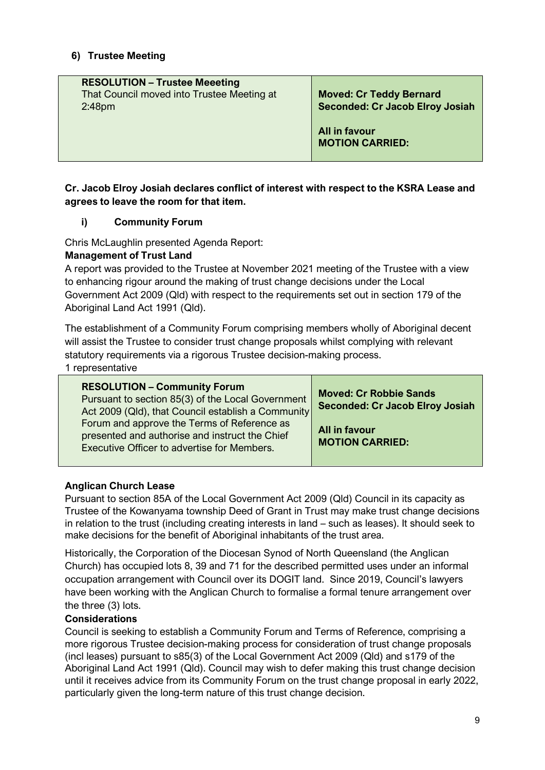## **6) Trustee Meeting**

| <b>RESOLUTION - Trustee Meeeting</b><br>That Council moved into Trustee Meeting at<br>2:48 <sub>pm</sub> | <b>Moved: Cr Teddy Bernard</b><br><b>Seconded: Cr Jacob Elroy Josiah</b> |
|----------------------------------------------------------------------------------------------------------|--------------------------------------------------------------------------|
|                                                                                                          | All in favour<br><b>MOTION CARRIED:</b>                                  |

#### **Cr. Jacob Elroy Josiah declares conflict of interest with respect to the KSRA Lease and agrees to leave the room for that item.**

#### **i) Community Forum**

Chris McLaughlin presented Agenda Report:

#### **Management of Trust Land**

A report was provided to the Trustee at November 2021 meeting of the Trustee with a view to enhancing rigour around the making of trust change decisions under the Local Government Act 2009 (Qld) with respect to the requirements set out in section 179 of the Aboriginal Land Act 1991 (Qld).

The establishment of a Community Forum comprising members wholly of Aboriginal decent will assist the Trustee to consider trust change proposals whilst complying with relevant statutory requirements via a rigorous Trustee decision-making process.

1 representative

| <b>RESOLUTION - Community Forum</b><br>Pursuant to section 85(3) of the Local Government<br>Act 2009 (Qld), that Council establish a Community | <b>Moved: Cr Robbie Sands</b><br><b>Seconded: Cr Jacob Elroy Josiah</b> |
|------------------------------------------------------------------------------------------------------------------------------------------------|-------------------------------------------------------------------------|
| Forum and approve the Terms of Reference as<br>presented and authorise and instruct the Chief<br>Executive Officer to advertise for Members.   | All in favour<br><b>MOTION CARRIED:</b>                                 |

#### **Anglican Church Lease**

Pursuant to section 85A of the Local Government Act 2009 (Qld) Council in its capacity as Trustee of the Kowanyama township Deed of Grant in Trust may make trust change decisions in relation to the trust (including creating interests in land – such as leases). It should seek to make decisions for the benefit of Aboriginal inhabitants of the trust area.

Historically, the Corporation of the Diocesan Synod of North Queensland (the Anglican Church) has occupied lots 8, 39 and 71 for the described permitted uses under an informal occupation arrangement with Council over its DOGIT land. Since 2019, Council's lawyers have been working with the Anglican Church to formalise a formal tenure arrangement over the three (3) lots.

#### **Considerations**

Council is seeking to establish a Community Forum and Terms of Reference, comprising a more rigorous Trustee decision-making process for consideration of trust change proposals (incl leases) pursuant to s85(3) of the Local Government Act 2009 (Qld) and s179 of the Aboriginal Land Act 1991 (Qld). Council may wish to defer making this trust change decision until it receives advice from its Community Forum on the trust change proposal in early 2022, particularly given the long-term nature of this trust change decision.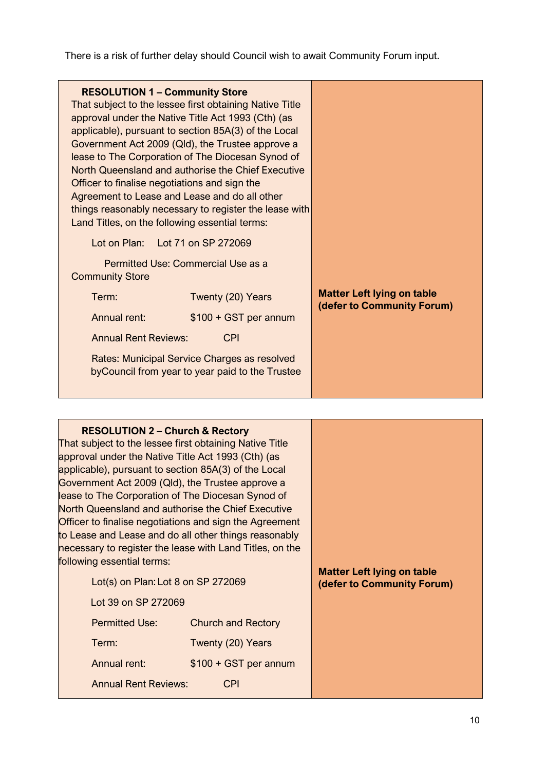There is a risk of further delay should Council wish to await Community Forum input.

| <b>RESOLUTION 1 - Community Store</b><br>That subject to the lessee first obtaining Native Title<br>approval under the Native Title Act 1993 (Cth) (as<br>applicable), pursuant to section 85A(3) of the Local<br>Government Act 2009 (Qld), the Trustee approve a<br>lease to The Corporation of The Diocesan Synod of<br>North Queensland and authorise the Chief Executive<br>Officer to finalise negotiations and sign the<br>Agreement to Lease and Lease and do all other<br>things reasonably necessary to register the lease with<br>Land Titles, on the following essential terms:<br>Lot on Plan: Lot 71 on SP 272069<br>Permitted Use: Commercial Use as a<br><b>Community Store</b><br>Term:<br>Twenty (20) Years<br>$$100 + GST$ per annum<br>Annual rent:<br><b>Annual Rent Reviews:</b><br><b>CPI</b><br>Rates: Municipal Service Charges as resolved<br>by Council from year to year paid to the Trustee | <b>Matter Left lying on table</b><br>(defer to Community Forum) |
|--------------------------------------------------------------------------------------------------------------------------------------------------------------------------------------------------------------------------------------------------------------------------------------------------------------------------------------------------------------------------------------------------------------------------------------------------------------------------------------------------------------------------------------------------------------------------------------------------------------------------------------------------------------------------------------------------------------------------------------------------------------------------------------------------------------------------------------------------------------------------------------------------------------------------|-----------------------------------------------------------------|
|--------------------------------------------------------------------------------------------------------------------------------------------------------------------------------------------------------------------------------------------------------------------------------------------------------------------------------------------------------------------------------------------------------------------------------------------------------------------------------------------------------------------------------------------------------------------------------------------------------------------------------------------------------------------------------------------------------------------------------------------------------------------------------------------------------------------------------------------------------------------------------------------------------------------------|-----------------------------------------------------------------|

| <b>RESOLUTION 2 - Church &amp; Rectory</b><br>That subject to the lessee first obtaining Native Title<br>approval under the Native Title Act 1993 (Cth) (as<br>applicable), pursuant to section 85A(3) of the Local<br>Government Act 2009 (Qld), the Trustee approve a<br>lease to The Corporation of The Diocesan Synod of<br>North Queensland and authorise the Chief Executive<br>Officer to finalise negotiations and sign the Agreement<br>to Lease and Lease and do all other things reasonably<br>necessary to register the lease with Land Titles, on the<br>following essential terms:<br>Lot(s) on Plan: Lot $8$ on SP 272069<br>Lot 39 on SP 272069 |                                                | <b>Matter Left lying on table</b><br>(defer to Community Forum) |
|-----------------------------------------------------------------------------------------------------------------------------------------------------------------------------------------------------------------------------------------------------------------------------------------------------------------------------------------------------------------------------------------------------------------------------------------------------------------------------------------------------------------------------------------------------------------------------------------------------------------------------------------------------------------|------------------------------------------------|-----------------------------------------------------------------|
| <b>Permitted Use:</b><br>Term:                                                                                                                                                                                                                                                                                                                                                                                                                                                                                                                                                                                                                                  | <b>Church and Rectory</b><br>Twenty (20) Years |                                                                 |
| Annual rent:<br><b>Annual Rent Reviews:</b>                                                                                                                                                                                                                                                                                                                                                                                                                                                                                                                                                                                                                     | $$100 + GST$ per annum<br><b>CPI</b>           |                                                                 |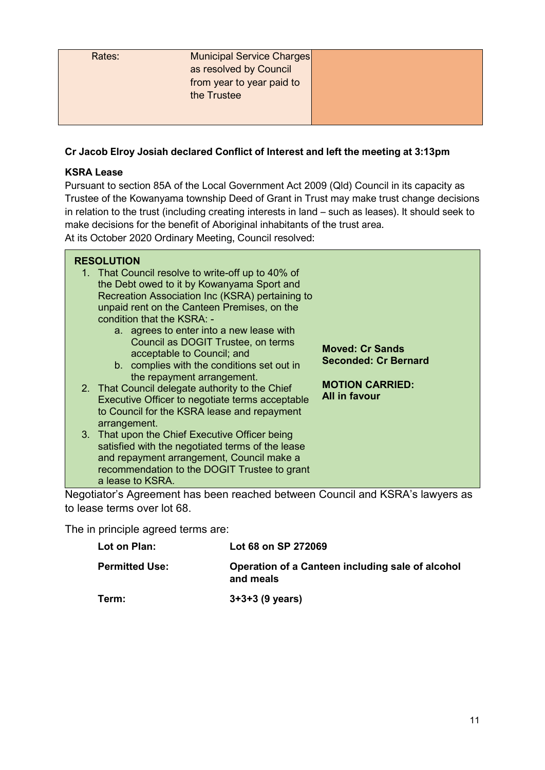| Rates: | Municipal Service Charges |  |
|--------|---------------------------|--|
|        | as resolved by Council    |  |
|        | from year to year paid to |  |
|        | the Trustee               |  |
|        |                           |  |
|        |                           |  |

## **Cr Jacob Elroy Josiah declared Conflict of Interest and left the meeting at 3:13pm**

## **KSRA Lease**

Pursuant to section 85A of the Local Government Act 2009 (Qld) Council in its capacity as Trustee of the Kowanyama township Deed of Grant in Trust may make trust change decisions in relation to the trust (including creating interests in land – such as leases). It should seek to make decisions for the benefit of Aboriginal inhabitants of the trust area. At its October 2020 Ordinary Meeting, Council resolved:

| and repayment arrangement, Council make a<br>recommendation to the DOGIT Trustee to grant |
|-------------------------------------------------------------------------------------------|
|-------------------------------------------------------------------------------------------|

Negotiator's Agreement has been reached between Council and KSRA's lawyers as to lease terms over lot 68.

The in principle agreed terms are:

| Lot on Plan:          | Lot 68 on SP 272069                                           |
|-----------------------|---------------------------------------------------------------|
| <b>Permitted Use:</b> | Operation of a Canteen including sale of alcohol<br>and meals |
| Term:                 | $3+3+3$ (9 years)                                             |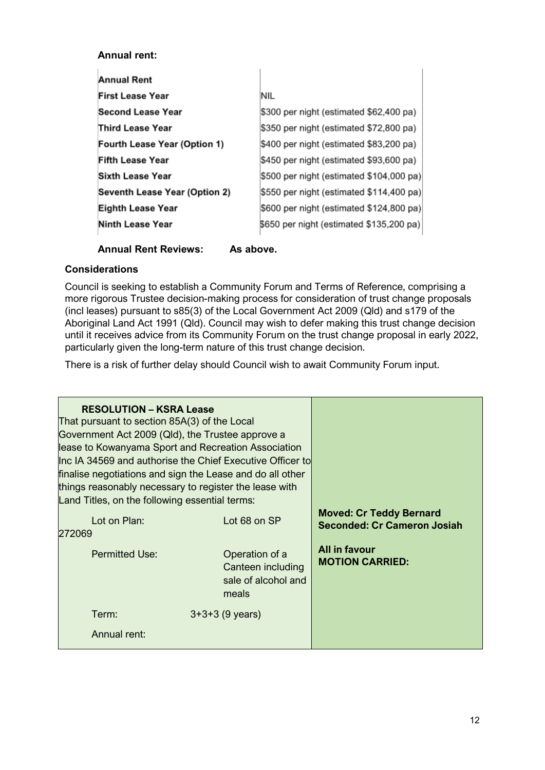#### **Annual rent:**

 $\bar{1}$ 

| NIL                                      |
|------------------------------------------|
| \$300 per night (estimated \$62,400 pa)  |
| \$350 per night (estimated \$72,800 pa)  |
| \$400 per night (estimated \$83,200 pa)  |
| \$450 per night (estimated \$93,600 pa)  |
| \$500 per night (estimated \$104,000 pa) |
| \$550 per night (estimated \$114,400 pa) |
| \$600 per night (estimated \$124,800 pa) |
| \$650 per night (estimated \$135,200 pa) |
|                                          |

#### **Annual Rent Reviews: As above.**

#### **Considerations**

Council is seeking to establish a Community Forum and Terms of Reference, comprising a more rigorous Trustee decision-making process for consideration of trust change proposals (incl leases) pursuant to s85(3) of the Local Government Act 2009 (Qld) and s179 of the Aboriginal Land Act 1991 (Qld). Council may wish to defer making this trust change decision until it receives advice from its Community Forum on the trust change proposal in early 2022, particularly given the long-term nature of this trust change decision.

There is a risk of further delay should Council wish to await Community Forum input.

| <b>RESOLUTION - KSRA Lease</b><br>That pursuant to section 85A(3) of the Local<br>Government Act 2009 (Qld), the Trustee approve a<br>lease to Kowanyama Sport and Recreation Association<br>Inc IA 34569 and authorise the Chief Executive Officer to<br>finalise negotiations and sign the Lease and do all other<br>things reasonably necessary to register the lease with<br>Land Titles, on the following essential terms: |                                                                     |                                                                      |
|---------------------------------------------------------------------------------------------------------------------------------------------------------------------------------------------------------------------------------------------------------------------------------------------------------------------------------------------------------------------------------------------------------------------------------|---------------------------------------------------------------------|----------------------------------------------------------------------|
| Lot on Plan:<br>272069                                                                                                                                                                                                                                                                                                                                                                                                          | Lot 68 on SP                                                        | <b>Moved: Cr Teddy Bernard</b><br><b>Seconded: Cr Cameron Josiah</b> |
| <b>Permitted Use:</b>                                                                                                                                                                                                                                                                                                                                                                                                           | Operation of a<br>Canteen including<br>sale of alcohol and<br>meals | <b>All in favour</b><br><b>MOTION CARRIED:</b>                       |
| Term:                                                                                                                                                                                                                                                                                                                                                                                                                           | $3+3+3$ (9 years)                                                   |                                                                      |
| Annual rent:                                                                                                                                                                                                                                                                                                                                                                                                                    |                                                                     |                                                                      |